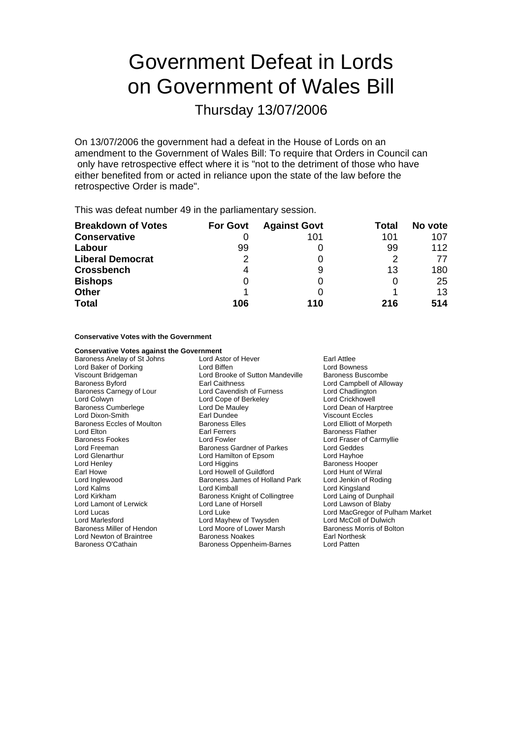## Government Defeat in Lords on Government of Wales Bill

Thursday 13/07/2006

On 13/07/2006 the government had a defeat in the House of Lords on an amendment to the Government of Wales Bill: To require that Orders in Council can only have retrospective effect where it is "not to the detriment of those who have either benefited from or acted in reliance upon the state of the law before the retrospective Order is made".

This was defeat number 49 in the parliamentary session.

| <b>Breakdown of Votes</b> | <b>For Govt</b> | <b>Against Govt</b> | Total | No vote |
|---------------------------|-----------------|---------------------|-------|---------|
| <b>Conservative</b>       |                 | 101                 | 101   | 107     |
| Labour                    | 99              |                     | 99    | 112     |
| <b>Liberal Democrat</b>   | 2               |                     |       | 77      |
| <b>Crossbench</b>         | 4               | 9                   | 13    | 180     |
| <b>Bishops</b>            | 0               |                     |       | 25      |
| <b>Other</b>              |                 |                     |       | 13      |
| <b>Total</b>              | 106             | 110                 | 216   | 514     |

**Conservative Votes with the Government**

| <b>Conservative Votes against the Government</b> |                                    |                                 |
|--------------------------------------------------|------------------------------------|---------------------------------|
| Baroness Anelay of St Johns                      | Lord Astor of Hever<br>Earl Attlee |                                 |
| Lord Baker of Dorking                            | Lord Biffen                        | Lord Bowness                    |
| Viscount Bridgeman                               | Lord Brooke of Sutton Mandeville   | Baroness Buscombe               |
| Baroness Byford                                  | Earl Caithness                     | Lord Campbell of Alloway        |
| Baroness Carnegy of Lour                         | Lord Cavendish of Furness          | Lord Chadlington                |
| Lord Colwyn                                      | Lord Cope of Berkeley              | Lord Crickhowell                |
| Baroness Cumberlege                              | Lord De Mauley                     | Lord Dean of Harptree           |
| Lord Dixon-Smith                                 | Earl Dundee                        | <b>Viscount Eccles</b>          |
| Baroness Eccles of Moulton                       | <b>Baroness Elles</b>              | Lord Elliott of Morpeth         |
| Lord Elton                                       | Earl Ferrers                       | <b>Baroness Flather</b>         |
| Baroness Fookes                                  | Lord Fowler                        | Lord Fraser of Carmyllie        |
| Lord Freeman                                     | <b>Baroness Gardner of Parkes</b>  | Lord Geddes                     |
| Lord Glenarthur                                  | Lord Hamilton of Epsom             | Lord Hayhoe                     |
| Lord Henley                                      | Lord Higgins                       | <b>Baroness Hooper</b>          |
| Earl Howe                                        | Lord Howell of Guildford           | Lord Hunt of Wirral             |
| Lord Inglewood                                   | Baroness James of Holland Park     | Lord Jenkin of Roding           |
| Lord Kalms                                       | Lord Kimball                       | Lord Kingsland                  |
| Lord Kirkham                                     | Baroness Knight of Collingtree     | Lord Laing of Dunphail          |
| Lord Lamont of Lerwick                           | Lord Lane of Horsell               | Lord Lawson of Blaby            |
| Lord Lucas                                       | Lord Luke                          | Lord MacGregor of Pulham Market |
| Lord Marlesford                                  | Lord Mayhew of Twysden             | Lord McColl of Dulwich          |
| Baroness Miller of Hendon                        | Lord Moore of Lower Marsh          | Baroness Morris of Bolton       |
| Lord Newton of Braintree                         | <b>Baroness Noakes</b>             | Earl Northesk                   |
| Baroness O'Cathain                               | Baroness Oppenheim-Barnes          | Lord Patten                     |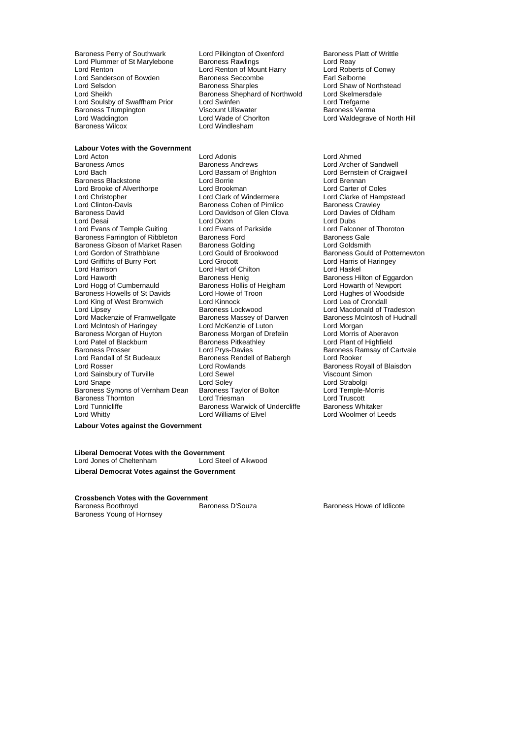Lord Sanderson of Bowden Baroness Seccomb<br>
Lord Selsdon Baroness Sharples Baroness Trumpington Viscount Ullswater<br>
Lord Waddington **Maroness Lord Wade of Chorlton** 

Baroness Perry of Southwark Lord Pilkington of Oxenford Baroness Platt of Writtle<br>
Lord Plummer of St Marylebone Baroness Rawlings Lord Reay Lord Plummer of St Marylebone Baroness Rawlings **Lord Reay**<br>
Lord Reaton Lord Reaton of Mount Harry **Lord Roberts of Conwy** Lord Renton of Mount Harry Lord Roberts of Converse Control Control Control Control Control Control Control Control Control Control Control Control Control Control Control Control Control Control Control Control Control Co Lord Selsdon **Examples** Baroness Sharples **Lord Shaw of Northstead**<br>Lord Sheikh **Baroness Shephard of Northwold** Lord Skelmersdale Exaroness Shephard of Northwold Lord Skelmersdale<br>
Lord Swinfen Lord Trefaarne Lord Soulsby of Swaffham Prior Lord Swinfen Lord Cord Coulsby of Swaffham Prior Lord Swinfen Lord Trefgarne Lord Trefgarne Lord Waddington **Communist Constructed Lord Wade of Chorlton Corporation** Lord Waldegrave of North Hill<br>
Raroness Wilcox **Communist Corporation** Lord Windlesham Lord Windlesham

**Labour Votes with the Government** *e* and **Acton** Lord Acton Lord Adonis Lord Ahmed Baroness Amos<br>
Lord Bach Craigwell Lord Bassam of Brighton<br>
Lord Bach Craigwell Lord Bassam of Brighton<br>
Lord Bach Craigwell Lord Bassam of Brighton Baroness Blackstone **Lord Borrie** Lord Borrie Corporation Lord Brennan<br>
Lord Brooke of Alverthorpe Lord Brookman **Lord Carter Corporation** Lord Carter of Coles Lord Brooke of Alverthorpe Lord Brookman<br>
Lord Christopher Lord Clark of Windermere Lord Christopher **Lord Clark of Windermere** Lord Clarke of Hampstead<br>
Lord Clinton-Davis **Colomet Baroness Cohen of Pimlico** Baroness Crawley Baroness David **Lord Davidson of Glen Clova** Lord Desai **Lord Dixon**<br>
Lord Evans of Temple Guiting **Lord Evans of Parkside** Lord Evans Cord Falconer of Thoroton Lord Evans of Temple Guiting Lord Evans of Parkside Lord Exans Cord Falconer of Parkside Lord Falconer of Thoroton Baroness Gale Baroness Farrington of Ribbleton Baroness Ford Baroness Gale<br>
Baroness Gibson of Market Rasen Baroness Golding Cold Baroness Goldsmith Baroness Gibson of Market Rasen Baroness Golding<br>
Lord Gordon of Strathblane Lord Gould of Brookwood Lord Griffiths of Burry Port Lord Grocott Lord Grocott Lord Harris c<br>
Lord Harrison Lord Harris Lord Harris Chilton Lord Haskel Lord Haworth **Baroness Henig** Baroness Henig Baroness Hilton of Eggardon<br>
Baroness Hollis of Heigham **Baroness Hollis of Heigham** Lord Howarth of Newport Baroness Howells of St Davids Lord Howie of Troon Theory Cord Hughes of Woods Lord Hughes of Woodside Lord Kinnock Lord Lord Lea of Crondall Lord King of West Bromwich Lord Lipsey **Baroness Lockwood** Cord Macdonald of Tradeston<br>Lord Mackenzie of Framwellgate Baroness Massey of Darwen Baroness McIntosh of Hudnall Lord Mackenzie of Framwellgate Baroness Massey of Darwen Baroness Mc<br>Lord McIntosh of Haringey Lord McKenzie of Luton Cord Morgan Lord McIntosh of Haringey<br>
Lord McIntosh of Haringey Lord McKenzie of Luton<br>
Baroness Morgan of Huyton Baroness Morgan of Drefelin Lord Morris of Aberavon Baroness Morgan of Huyton Baroness Morgan of Drefelin Carol Morris of Aberavon Cord Morris of Aberavon Baroness Pitkeathley<br>Cord Patel of Blackburn Caroness Pitkeathley Cord Cord Plant of Highfield Lord Patel of Blackburn Baroness Pitkeath<br>Baroness Prosser **Baroness** Lord Prvs-Davies Baroness Prosser **Lord Prys-Davies**<br>
Lord Randall of St Budeaux Baroness Rendell of Babergh Lord Rooker<br>
Lord Rooker Lord Rosser **Lord Rowlands**<br>
Lord Sainsbury of Turville **Baroness Royall of Blaisdon**<br>
Lord Sewel **Baroness Royal Corporation** Viscount Simon Lord Sainsbury of Turville **Lord Sewel Lord Sewel Cord Sewel Cord Simon**<br>Lord Soley Lord Snape (Edd Soley Lord Soley Strabolgi Lord Strabolgi Lord Strabolgi Lord Strabolgi Lord Temple-Morris Baroness Symons of Vernham Dean Baroness Taylor of Bolton Lord Temple-<br>Baroness Thornton Lord Triesman Lord Triesman Lord Truscott Baroness Thornton Lord Triesman Lord Truscott Lord Whitty Lord Williams of Elvel Lord Woolmer of Leeds

Lord Bassam of Brighton Lord Bernstein of Craigweil<br>Lord Borrie Lord Brennan Baroness Cohen of Pimlico Baroness Crawley<br>
Lord Davidson of Glen Clova Lord Davies of Oldham Lord Hart of Chilton Exaroness Hollis of Heigham Lord Howarth of Newport<br>
Lord Howie of Troon<br>
Lord Hughes of Woodside Baroness Rendell of Babergh Baroness Warwick of Undercliffe

Lord Gould of Brookwood Baroness Gould of Potternewton<br>
Lord Grocott **Brookwood** Lord Harris of Haringey

**Labour Votes against the Government**

**Liberal Democrat Votes with the Government** Lord Jones of Cheltenham **Liberal Democrat Votes against the Government**

**Crossbench Votes with the Government**

Baroness Young of Hornsey

Baroness Boothroyd **Baroness D'Souza** Baroness D'Souza **Baroness Howe of Idlicote**